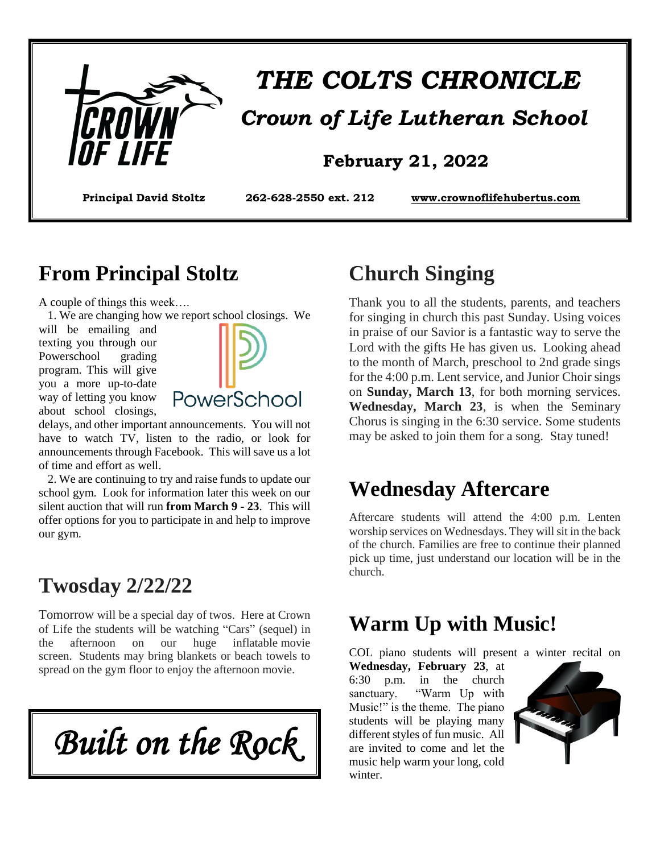

# *THE COLTS CHRONICLE Crown of Life Lutheran School*

#### **February 21, 2022**

**Principal David Stoltz 262-628-2550 ext. 212 [www.crownoflifehubertus.com](http://www.crownoflifehubertus.com/)**

#### **From Principal Stoltz**

A couple of things this week….

1. We are changing how we report school closings. We

will be emailing and texting you through our Powerschool grading program. This will give you a more up-to-date way of letting you know about school closings,



delays, and other important announcements. You will not have to watch TV, listen to the radio, or look for announcements through Facebook. This will save us a lot of time and effort as well.

 2. We are continuing to try and raise funds to update our school gym. Look for information later this week on our silent auction that will run **from March 9 - 23**. This will offer options for you to participate in and help to improve our gym.

## **Twosday 2/22/22**

Tomorrow will be a special day of twos. Here at Crown of Life the students will be watching "Cars" (sequel) in the afternoon on our huge inflatable movie screen. Students may bring blankets or beach towels to spread on the gym floor to enjoy the afternoon movie.



## **Church Singing**

Thank you to all the students, parents, and teachers for singing in church this past Sunday. Using voices in praise of our Savior is a fantastic way to serve the Lord with the gifts He has given us. Looking ahead to the month of March, preschool to 2nd grade sings for the 4:00 p.m. Lent service, and Junior Choir sings on **Sunday, March 13**, for both morning services. **Wednesday, March 23**, is when the Seminary Chorus is singing in the 6:30 service. Some students may be asked to join them for a song. Stay tuned!

### **Wednesday Aftercare**

Aftercare students will attend the 4:00 p.m. Lenten worship services on Wednesdays. They will sit in the back of the church. Families are free to continue their planned pick up time, just understand our location will be in the church.

## **Warm Up with Music!**

COL piano students will present a winter recital on

**Wednesday, February 23**, at 6:30 p.m. in the church sanctuary. "Warm Up with Music!" is the theme. The piano students will be playing many different styles of fun music. All are invited to come and let the music help warm your long, cold winter.

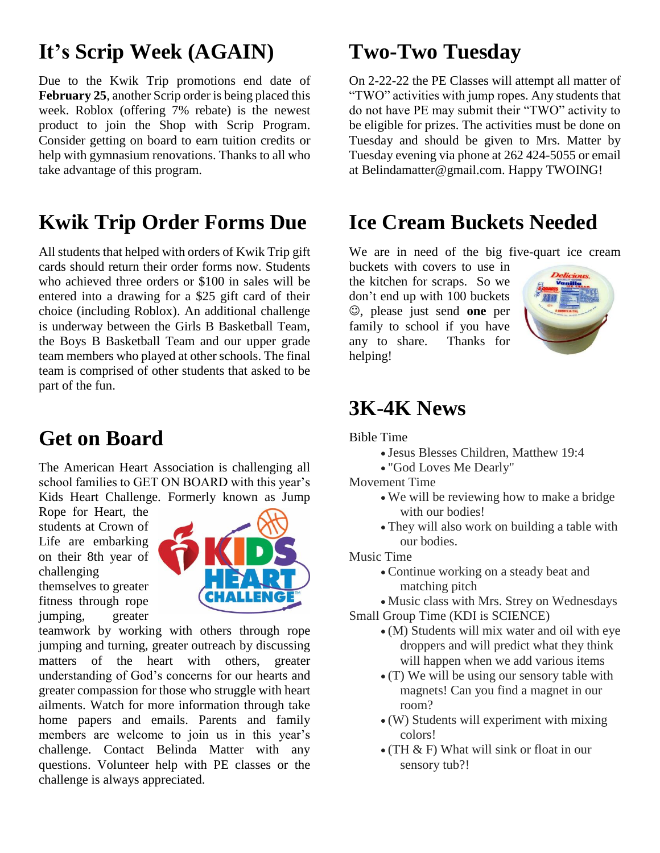# **It's Scrip Week (AGAIN)**

Due to the Kwik Trip promotions end date of **February 25**, another Scrip order is being placed this week. Roblox (offering 7% rebate) is the newest product to join the Shop with Scrip Program. Consider getting on board to earn tuition credits or help with gymnasium renovations. Thanks to all who take advantage of this program.

# **Kwik Trip Order Forms Due**

All students that helped with orders of Kwik Trip gift cards should return their order forms now. Students who achieved three orders or \$100 in sales will be entered into a drawing for a \$25 gift card of their choice (including Roblox). An additional challenge is underway between the Girls B Basketball Team, the Boys B Basketball Team and our upper grade team members who played at other schools. The final team is comprised of other students that asked to be part of the fun.

## **Get on Board**

The American Heart Association is challenging all school families to GET ON BOARD with this year's Kids Heart Challenge. Formerly known as Jump

Rope for Heart, the students at Crown of Life are embarking on their 8th year of challenging themselves to greater fitness through rope jumping, greater



teamwork by working with others through rope jumping and turning, greater outreach by discussing matters of the heart with others, greater understanding of God's concerns for our hearts and greater compassion for those who struggle with heart ailments. Watch for more information through take home papers and emails. Parents and family members are welcome to join us in this year's challenge. Contact Belinda Matter with any questions. Volunteer help with PE classes or the challenge is always appreciated.

# **Two-Two Tuesday**

On 2-22-22 the PE Classes will attempt all matter of "TWO" activities with jump ropes. Any students that do not have PE may submit their "TWO" activity to be eligible for prizes. The activities must be done on Tuesday and should be given to Mrs. Matter by Tuesday evening via phone at 262 424-5055 or email at Belindamatter@gmail.com. Happy TWOING!

### **Ice Cream Buckets Needed**

We are in need of the big five-quart ice cream

buckets with covers to use in the kitchen for scraps. So we don't end up with 100 buckets , please just send **one** per family to school if you have any to share. Thanks for helping!



# **3K-4K News**

Bible Time

- Jesus Blesses Children, Matthew 19:4
- "God Loves Me Dearly"

Movement Time

- We will be reviewing how to make a bridge with our bodies!
- They will also work on building a table with our bodies.

Music Time

• Continue working on a steady beat and matching pitch

Music class with Mrs. Strey on Wednesdays

Small Group Time (KDI is SCIENCE)

- (M) Students will mix water and oil with eye droppers and will predict what they think will happen when we add various items
- (T) We will be using our sensory table with magnets! Can you find a magnet in our room?
- (W) Students will experiment with mixing colors!
- (TH & F) What will sink or float in our sensory tub?!